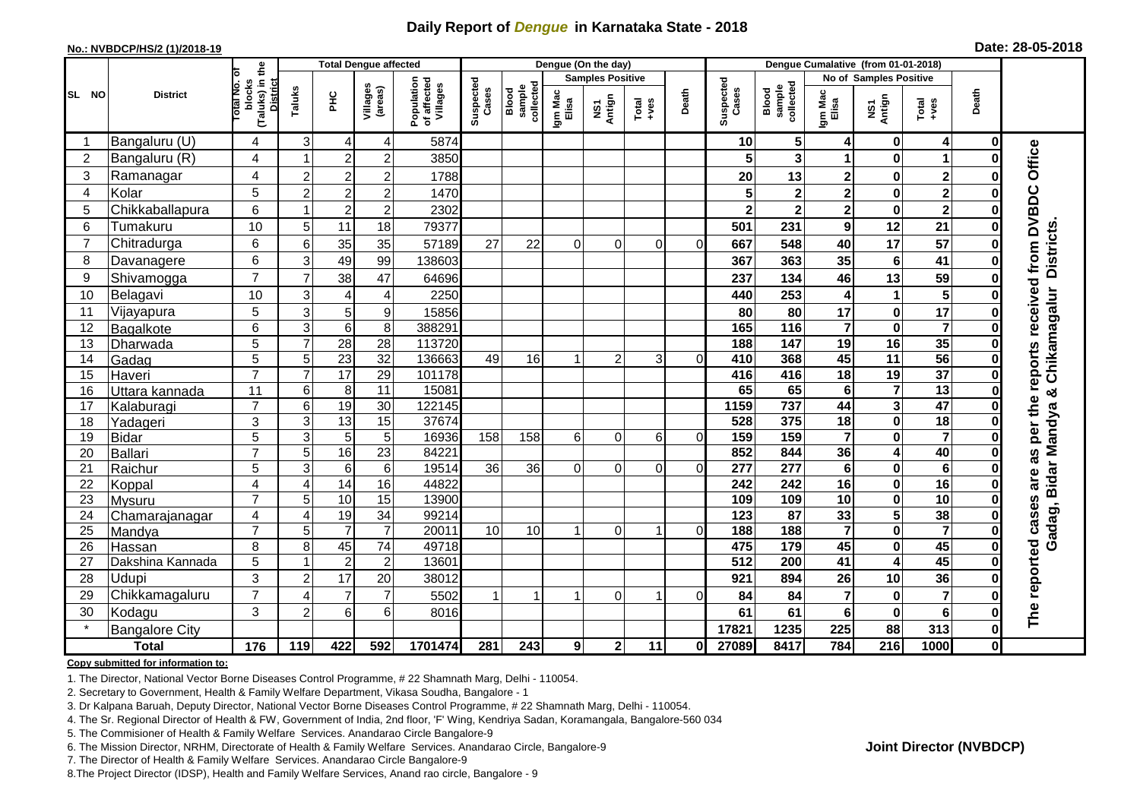## **Daily Report of** *Dengue* **in Karnataka State - 2018**

#### **No.: NVBDCP/HS/2 (1)/2018-19**

| Date: 28-05-2018 |  |  |  |
|------------------|--|--|--|
|------------------|--|--|--|

| (Taluks) in the<br>District<br>Total No. of<br><b>Samples Positive</b><br><b>No of Samples Positive</b><br>Population<br>of affected<br>Villages<br>Suspected<br>Cases<br>Suspected<br>blocks<br>collected<br>sample<br>collected<br>Villages<br>(areas)<br>sample<br>Taluks<br>Blood<br>Cases<br>Blood<br>Death<br>Death<br>Igm Mac<br>Elisa<br>Igm Mac<br>Elisa<br>SL NO<br><b>District</b><br><b>PHC</b><br>NS1<br>Antign<br>NS1<br>Antign<br>$\begin{array}{c}\n\text{Total} \\ \text{+ves}\n\end{array}$<br>Total<br>+ves<br>3<br>5 <sub>l</sub><br>Bangaluru (U)<br>5874<br>0<br>4<br>4<br>4<br>10<br>4<br>4<br>0<br>Office<br>Bangaluru (R)<br>$\overline{2}$<br>$\overline{2}$<br>4<br>$\overline{2}$<br>3<br>3850<br>$\bf{0}$<br>1<br>1<br>Û<br>3<br>$\overline{2}$<br>Ramanagar<br>4<br>$\overline{2}$<br>$\boldsymbol{2}$<br>$\mathbf{2}$<br>13<br>2<br>$\bf{0}$<br>1788<br>20<br>reports received from DVBDC<br>$\overline{2}$<br>5<br>$\overline{\mathbf{2}}$<br>Kolar<br>$\overline{c}$<br>$\overline{c}$<br>$\overline{\mathbf{2}}$<br>$\mathbf 0$<br>1470<br>$\mathbf 2$<br>$\overline{4}$<br>O<br>6<br>$\overline{2}$<br>$\overline{c}$<br>$\overline{\mathbf{2}}$<br>5<br>Chikkaballapura<br>2302<br>$\overline{\mathbf{2}}$<br>$\mathbf 0$<br>$\overline{2}$<br>$\bf{0}$<br>11<br><b>Districts</b><br>10<br>12<br>6<br>5<br>18<br>9<br>21<br>Tumakuru<br>501<br>231<br>79377<br>O<br>17<br>57<br>Chitradurga<br>35<br>7<br>6<br>6<br>35<br>57189<br>27<br>22<br>667<br>548<br>40<br>$\Omega$<br>$\Omega$<br>$\Omega$<br>0<br>0<br>49<br>$6\phantom{1}$<br>3<br>99<br>35<br>8<br>6<br>41<br>138603<br>367<br>363<br>Davanagere<br>$\bf{0}$<br>$\overline{7}$<br>Shivamogga<br>$\overline{7}$<br>13<br>59<br>9<br>38<br>46<br>47<br>64696<br>237<br>134<br>0<br>Chikamagalur<br>5<br>10<br>10<br>Belagavi<br>3<br>2250<br>253<br>$\mathbf{1}$<br>440<br>$\overline{4}$<br>4<br>4<br>Û<br>5<br>17<br>3<br>5<br>9<br>17<br>$\bf{0}$<br>11<br>Vijayapura<br>15856<br>80<br>80<br>$\overline{\mathbf{7}}$<br>$\overline{7}$<br>3<br>$\,6$<br>8<br>388291<br>$\mathbf 0$<br>6<br>165<br>116<br>12<br>O<br>Bagalkote<br>$\overline{7}$<br>35<br>$\overline{5}$<br>28<br>16<br>$\overline{28}$<br>113720<br>147<br>$\overline{19}$<br>13<br>188<br>O<br>Dharwada<br>$\overline{56}$<br>$\overline{5}$<br>$\overline{5}$<br>$\overline{23}$<br>$\overline{32}$<br>136663<br>16<br>45<br>$\overline{11}$<br>49<br>$\overline{2}$<br>368<br>Gadag<br>3<br>$\Omega$<br>410<br>0<br>14<br>$\overline{7}$<br>$\overline{37}$<br>$\overline{7}$<br>17<br>29<br>18<br>19<br>15<br>101178<br>416<br>416<br>Haveri<br>$\bf{0}$<br>$\overline{13}$<br>$\overline{\mathbf{7}}$<br>$6\phantom{1}6$<br>8<br>11<br>15081<br>65<br>65<br>6<br>16<br>11<br>Uttara kannada<br>×<br>per the<br>47<br>19<br>737<br>$\overline{\mathbf{3}}$<br>$\overline{30}$<br>122145<br>1159<br>$\overline{7}$<br>6<br>44<br>17<br>Kalaburagi<br>Gadag, Bidar Mandya<br>O<br>13<br>$\overline{18}$<br>37674<br>$\pmb{0}$<br>3<br>3<br>15<br>528<br>375<br>18<br>18<br>Yadageri<br>$\overline{5}$<br>$\overline{\mathbf{7}}$<br>5<br>3<br>5<br>16936<br>159<br>159<br>$\overline{7}$<br>$\mathbf 0$<br>158<br>158<br>6 <sup>1</sup><br>$\Omega$<br>6<br>19<br>$\Omega$<br><b>Bidar</b><br>O<br>16<br>$\overline{23}$<br>40<br>5<br>84221<br>852<br>844<br>36<br>4<br>as<br>$\overline{7}$<br><b>Ballari</b><br>20<br>$\overline{6}$<br>5<br>3<br>6<br>$6\phantom{1}$<br>19514<br>$\overline{277}$<br>$6\phantom{a}$<br>$\mathbf 0$<br>36<br>36<br>277<br>21<br>$\Omega$<br>$\Omega$<br>Raichur<br>0<br>$\Omega$<br>are<br>14<br>16<br>$\mathbf 0$<br>16<br>$\overline{\mathbf{4}}$<br>$\overline{4}$<br>44822<br>242<br>242<br>16<br>22<br>Koppal<br>10<br>15<br>10<br>$\overline{\mathbf{0}}$<br>10<br>The reported cases<br>$\overline{7}$<br>5<br>13900<br>109<br>109<br>23<br>$\bf{0}$<br>Mysuru<br>33<br>$\overline{\mathbf{5}}$<br>38<br>19<br>$\overline{34}$<br>$\overline{87}$<br>$\overline{4}$<br>99214<br>123<br>24<br>Chamarajanagar<br>4<br>0<br>$\overline{\mathbf{7}}$<br>$\overline{\mathbf{7}}$<br>$\overline{7}$<br>$\overline{7}$<br>188<br>$\overline{\mathbf{0}}$<br>$\overline{7}$<br>5<br>20011<br>10<br>10<br>188<br>25<br>$\Omega$<br>Mandya<br>1<br>$\Omega$<br>$\bf{0}$<br>45<br>45<br>74<br>179<br>45<br>8<br>8<br>49718<br>475<br>$\pmb{0}$<br>26<br>Hassan<br>0<br>$\overline{2}$<br>45<br>$\overline{2}$<br>13601<br>5<br>512<br>200<br>41<br>4<br>27<br>Dakshina Kannada<br><b>Udupi</b><br>3<br>17<br>20<br>10<br>36<br>28<br>$\overline{c}$<br>38012<br>921<br>894<br>26<br>O<br>$\overline{7}$<br>$\overline{7}$<br>7<br>$\overline{7}$<br>$\overline{7}$<br>29<br>Chikkamagaluru<br>5502<br>84<br>84<br>$\bf{0}$<br>$\Omega$<br>$\overline{4}$<br>0<br>ŋ<br>3<br>6<br>61<br>61<br>$\mathbf 0$<br>30<br>Kodagu<br>$\overline{2}$<br>6<br>6<br>6<br>8016<br>ŋ<br>88<br>313<br><b>Bangalore City</b><br>17821<br>1235<br>225<br>0<br>$\overline{216}$<br><b>Total</b><br>176<br>8417<br>784<br>1000<br>119<br>422<br>592<br>1701474<br>281<br>243<br>9<br>$\mathbf{2}$<br>11<br>27089<br>01<br>0 |  |  |  | <b>Total Dengue affected</b> |  |  | Dengue (On the day) |  | Dengue Cumalative (from 01-01-2018) |  |  |  |  |  |  |
|------------------------------------------------------------------------------------------------------------------------------------------------------------------------------------------------------------------------------------------------------------------------------------------------------------------------------------------------------------------------------------------------------------------------------------------------------------------------------------------------------------------------------------------------------------------------------------------------------------------------------------------------------------------------------------------------------------------------------------------------------------------------------------------------------------------------------------------------------------------------------------------------------------------------------------------------------------------------------------------------------------------------------------------------------------------------------------------------------------------------------------------------------------------------------------------------------------------------------------------------------------------------------------------------------------------------------------------------------------------------------------------------------------------------------------------------------------------------------------------------------------------------------------------------------------------------------------------------------------------------------------------------------------------------------------------------------------------------------------------------------------------------------------------------------------------------------------------------------------------------------------------------------------------------------------------------------------------------------------------------------------------------------------------------------------------------------------------------------------------------------------------------------------------------------------------------------------------------------------------------------------------------------------------------------------------------------------------------------------------------------------------------------------------------------------------------------------------------------------------------------------------------------------------------------------------------------------------------------------------------------------------------------------------------------------------------------------------------------------------------------------------------------------------------------------------------------------------------------------------------------------------------------------------------------------------------------------------------------------------------------------------------------------------------------------------------------------------------------------------------------------------------------------------------------------------------------------------------------------------------------------------------------------------------------------------------------------------------------------------------------------------------------------------------------------------------------------------------------------------------------------------------------------------------------------------------------------------------------------------------------------------------------------------------------------------------------------------------------------------------------------------------------------------------------------------------------------------------------------------------------------------------------------------------------------------------------------------------------------------------------------------------------------------------------------------------------------------------------------------------------------------------------------------------------------------------------------------------------------------------------------------------------------------------------------------------------------------------------------------------------------------------------------------------------------------------------------------------------------------------------------------------------------------------------------------------------------------------------------------------------------------------------------------------------------------------------------------------------------------------------------------------------------------------------------------------------------------------------------------------------------------------------------------------------------------------------------------------------------------------------------------------------------------------------------------------------------------------------------|--|--|--|------------------------------|--|--|---------------------|--|-------------------------------------|--|--|--|--|--|--|
|                                                                                                                                                                                                                                                                                                                                                                                                                                                                                                                                                                                                                                                                                                                                                                                                                                                                                                                                                                                                                                                                                                                                                                                                                                                                                                                                                                                                                                                                                                                                                                                                                                                                                                                                                                                                                                                                                                                                                                                                                                                                                                                                                                                                                                                                                                                                                                                                                                                                                                                                                                                                                                                                                                                                                                                                                                                                                                                                                                                                                                                                                                                                                                                                                                                                                                                                                                                                                                                                                                                                                                                                                                                                                                                                                                                                                                                                                                                                                                                                                                                                                                                                                                                                                                                                                                                                                                                                                                                                                                                                                                                                                                                                                                                                                                                                                                                                                                                                                                                                                                                                                                            |  |  |  |                              |  |  |                     |  |                                     |  |  |  |  |  |  |
|                                                                                                                                                                                                                                                                                                                                                                                                                                                                                                                                                                                                                                                                                                                                                                                                                                                                                                                                                                                                                                                                                                                                                                                                                                                                                                                                                                                                                                                                                                                                                                                                                                                                                                                                                                                                                                                                                                                                                                                                                                                                                                                                                                                                                                                                                                                                                                                                                                                                                                                                                                                                                                                                                                                                                                                                                                                                                                                                                                                                                                                                                                                                                                                                                                                                                                                                                                                                                                                                                                                                                                                                                                                                                                                                                                                                                                                                                                                                                                                                                                                                                                                                                                                                                                                                                                                                                                                                                                                                                                                                                                                                                                                                                                                                                                                                                                                                                                                                                                                                                                                                                                            |  |  |  |                              |  |  |                     |  |                                     |  |  |  |  |  |  |
|                                                                                                                                                                                                                                                                                                                                                                                                                                                                                                                                                                                                                                                                                                                                                                                                                                                                                                                                                                                                                                                                                                                                                                                                                                                                                                                                                                                                                                                                                                                                                                                                                                                                                                                                                                                                                                                                                                                                                                                                                                                                                                                                                                                                                                                                                                                                                                                                                                                                                                                                                                                                                                                                                                                                                                                                                                                                                                                                                                                                                                                                                                                                                                                                                                                                                                                                                                                                                                                                                                                                                                                                                                                                                                                                                                                                                                                                                                                                                                                                                                                                                                                                                                                                                                                                                                                                                                                                                                                                                                                                                                                                                                                                                                                                                                                                                                                                                                                                                                                                                                                                                                            |  |  |  |                              |  |  |                     |  |                                     |  |  |  |  |  |  |
|                                                                                                                                                                                                                                                                                                                                                                                                                                                                                                                                                                                                                                                                                                                                                                                                                                                                                                                                                                                                                                                                                                                                                                                                                                                                                                                                                                                                                                                                                                                                                                                                                                                                                                                                                                                                                                                                                                                                                                                                                                                                                                                                                                                                                                                                                                                                                                                                                                                                                                                                                                                                                                                                                                                                                                                                                                                                                                                                                                                                                                                                                                                                                                                                                                                                                                                                                                                                                                                                                                                                                                                                                                                                                                                                                                                                                                                                                                                                                                                                                                                                                                                                                                                                                                                                                                                                                                                                                                                                                                                                                                                                                                                                                                                                                                                                                                                                                                                                                                                                                                                                                                            |  |  |  |                              |  |  |                     |  |                                     |  |  |  |  |  |  |
|                                                                                                                                                                                                                                                                                                                                                                                                                                                                                                                                                                                                                                                                                                                                                                                                                                                                                                                                                                                                                                                                                                                                                                                                                                                                                                                                                                                                                                                                                                                                                                                                                                                                                                                                                                                                                                                                                                                                                                                                                                                                                                                                                                                                                                                                                                                                                                                                                                                                                                                                                                                                                                                                                                                                                                                                                                                                                                                                                                                                                                                                                                                                                                                                                                                                                                                                                                                                                                                                                                                                                                                                                                                                                                                                                                                                                                                                                                                                                                                                                                                                                                                                                                                                                                                                                                                                                                                                                                                                                                                                                                                                                                                                                                                                                                                                                                                                                                                                                                                                                                                                                                            |  |  |  |                              |  |  |                     |  |                                     |  |  |  |  |  |  |
|                                                                                                                                                                                                                                                                                                                                                                                                                                                                                                                                                                                                                                                                                                                                                                                                                                                                                                                                                                                                                                                                                                                                                                                                                                                                                                                                                                                                                                                                                                                                                                                                                                                                                                                                                                                                                                                                                                                                                                                                                                                                                                                                                                                                                                                                                                                                                                                                                                                                                                                                                                                                                                                                                                                                                                                                                                                                                                                                                                                                                                                                                                                                                                                                                                                                                                                                                                                                                                                                                                                                                                                                                                                                                                                                                                                                                                                                                                                                                                                                                                                                                                                                                                                                                                                                                                                                                                                                                                                                                                                                                                                                                                                                                                                                                                                                                                                                                                                                                                                                                                                                                                            |  |  |  |                              |  |  |                     |  |                                     |  |  |  |  |  |  |
|                                                                                                                                                                                                                                                                                                                                                                                                                                                                                                                                                                                                                                                                                                                                                                                                                                                                                                                                                                                                                                                                                                                                                                                                                                                                                                                                                                                                                                                                                                                                                                                                                                                                                                                                                                                                                                                                                                                                                                                                                                                                                                                                                                                                                                                                                                                                                                                                                                                                                                                                                                                                                                                                                                                                                                                                                                                                                                                                                                                                                                                                                                                                                                                                                                                                                                                                                                                                                                                                                                                                                                                                                                                                                                                                                                                                                                                                                                                                                                                                                                                                                                                                                                                                                                                                                                                                                                                                                                                                                                                                                                                                                                                                                                                                                                                                                                                                                                                                                                                                                                                                                                            |  |  |  |                              |  |  |                     |  |                                     |  |  |  |  |  |  |
|                                                                                                                                                                                                                                                                                                                                                                                                                                                                                                                                                                                                                                                                                                                                                                                                                                                                                                                                                                                                                                                                                                                                                                                                                                                                                                                                                                                                                                                                                                                                                                                                                                                                                                                                                                                                                                                                                                                                                                                                                                                                                                                                                                                                                                                                                                                                                                                                                                                                                                                                                                                                                                                                                                                                                                                                                                                                                                                                                                                                                                                                                                                                                                                                                                                                                                                                                                                                                                                                                                                                                                                                                                                                                                                                                                                                                                                                                                                                                                                                                                                                                                                                                                                                                                                                                                                                                                                                                                                                                                                                                                                                                                                                                                                                                                                                                                                                                                                                                                                                                                                                                                            |  |  |  |                              |  |  |                     |  |                                     |  |  |  |  |  |  |
|                                                                                                                                                                                                                                                                                                                                                                                                                                                                                                                                                                                                                                                                                                                                                                                                                                                                                                                                                                                                                                                                                                                                                                                                                                                                                                                                                                                                                                                                                                                                                                                                                                                                                                                                                                                                                                                                                                                                                                                                                                                                                                                                                                                                                                                                                                                                                                                                                                                                                                                                                                                                                                                                                                                                                                                                                                                                                                                                                                                                                                                                                                                                                                                                                                                                                                                                                                                                                                                                                                                                                                                                                                                                                                                                                                                                                                                                                                                                                                                                                                                                                                                                                                                                                                                                                                                                                                                                                                                                                                                                                                                                                                                                                                                                                                                                                                                                                                                                                                                                                                                                                                            |  |  |  |                              |  |  |                     |  |                                     |  |  |  |  |  |  |
|                                                                                                                                                                                                                                                                                                                                                                                                                                                                                                                                                                                                                                                                                                                                                                                                                                                                                                                                                                                                                                                                                                                                                                                                                                                                                                                                                                                                                                                                                                                                                                                                                                                                                                                                                                                                                                                                                                                                                                                                                                                                                                                                                                                                                                                                                                                                                                                                                                                                                                                                                                                                                                                                                                                                                                                                                                                                                                                                                                                                                                                                                                                                                                                                                                                                                                                                                                                                                                                                                                                                                                                                                                                                                                                                                                                                                                                                                                                                                                                                                                                                                                                                                                                                                                                                                                                                                                                                                                                                                                                                                                                                                                                                                                                                                                                                                                                                                                                                                                                                                                                                                                            |  |  |  |                              |  |  |                     |  |                                     |  |  |  |  |  |  |
|                                                                                                                                                                                                                                                                                                                                                                                                                                                                                                                                                                                                                                                                                                                                                                                                                                                                                                                                                                                                                                                                                                                                                                                                                                                                                                                                                                                                                                                                                                                                                                                                                                                                                                                                                                                                                                                                                                                                                                                                                                                                                                                                                                                                                                                                                                                                                                                                                                                                                                                                                                                                                                                                                                                                                                                                                                                                                                                                                                                                                                                                                                                                                                                                                                                                                                                                                                                                                                                                                                                                                                                                                                                                                                                                                                                                                                                                                                                                                                                                                                                                                                                                                                                                                                                                                                                                                                                                                                                                                                                                                                                                                                                                                                                                                                                                                                                                                                                                                                                                                                                                                                            |  |  |  |                              |  |  |                     |  |                                     |  |  |  |  |  |  |
|                                                                                                                                                                                                                                                                                                                                                                                                                                                                                                                                                                                                                                                                                                                                                                                                                                                                                                                                                                                                                                                                                                                                                                                                                                                                                                                                                                                                                                                                                                                                                                                                                                                                                                                                                                                                                                                                                                                                                                                                                                                                                                                                                                                                                                                                                                                                                                                                                                                                                                                                                                                                                                                                                                                                                                                                                                                                                                                                                                                                                                                                                                                                                                                                                                                                                                                                                                                                                                                                                                                                                                                                                                                                                                                                                                                                                                                                                                                                                                                                                                                                                                                                                                                                                                                                                                                                                                                                                                                                                                                                                                                                                                                                                                                                                                                                                                                                                                                                                                                                                                                                                                            |  |  |  |                              |  |  |                     |  |                                     |  |  |  |  |  |  |
|                                                                                                                                                                                                                                                                                                                                                                                                                                                                                                                                                                                                                                                                                                                                                                                                                                                                                                                                                                                                                                                                                                                                                                                                                                                                                                                                                                                                                                                                                                                                                                                                                                                                                                                                                                                                                                                                                                                                                                                                                                                                                                                                                                                                                                                                                                                                                                                                                                                                                                                                                                                                                                                                                                                                                                                                                                                                                                                                                                                                                                                                                                                                                                                                                                                                                                                                                                                                                                                                                                                                                                                                                                                                                                                                                                                                                                                                                                                                                                                                                                                                                                                                                                                                                                                                                                                                                                                                                                                                                                                                                                                                                                                                                                                                                                                                                                                                                                                                                                                                                                                                                                            |  |  |  |                              |  |  |                     |  |                                     |  |  |  |  |  |  |
|                                                                                                                                                                                                                                                                                                                                                                                                                                                                                                                                                                                                                                                                                                                                                                                                                                                                                                                                                                                                                                                                                                                                                                                                                                                                                                                                                                                                                                                                                                                                                                                                                                                                                                                                                                                                                                                                                                                                                                                                                                                                                                                                                                                                                                                                                                                                                                                                                                                                                                                                                                                                                                                                                                                                                                                                                                                                                                                                                                                                                                                                                                                                                                                                                                                                                                                                                                                                                                                                                                                                                                                                                                                                                                                                                                                                                                                                                                                                                                                                                                                                                                                                                                                                                                                                                                                                                                                                                                                                                                                                                                                                                                                                                                                                                                                                                                                                                                                                                                                                                                                                                                            |  |  |  |                              |  |  |                     |  |                                     |  |  |  |  |  |  |
|                                                                                                                                                                                                                                                                                                                                                                                                                                                                                                                                                                                                                                                                                                                                                                                                                                                                                                                                                                                                                                                                                                                                                                                                                                                                                                                                                                                                                                                                                                                                                                                                                                                                                                                                                                                                                                                                                                                                                                                                                                                                                                                                                                                                                                                                                                                                                                                                                                                                                                                                                                                                                                                                                                                                                                                                                                                                                                                                                                                                                                                                                                                                                                                                                                                                                                                                                                                                                                                                                                                                                                                                                                                                                                                                                                                                                                                                                                                                                                                                                                                                                                                                                                                                                                                                                                                                                                                                                                                                                                                                                                                                                                                                                                                                                                                                                                                                                                                                                                                                                                                                                                            |  |  |  |                              |  |  |                     |  |                                     |  |  |  |  |  |  |
|                                                                                                                                                                                                                                                                                                                                                                                                                                                                                                                                                                                                                                                                                                                                                                                                                                                                                                                                                                                                                                                                                                                                                                                                                                                                                                                                                                                                                                                                                                                                                                                                                                                                                                                                                                                                                                                                                                                                                                                                                                                                                                                                                                                                                                                                                                                                                                                                                                                                                                                                                                                                                                                                                                                                                                                                                                                                                                                                                                                                                                                                                                                                                                                                                                                                                                                                                                                                                                                                                                                                                                                                                                                                                                                                                                                                                                                                                                                                                                                                                                                                                                                                                                                                                                                                                                                                                                                                                                                                                                                                                                                                                                                                                                                                                                                                                                                                                                                                                                                                                                                                                                            |  |  |  |                              |  |  |                     |  |                                     |  |  |  |  |  |  |
|                                                                                                                                                                                                                                                                                                                                                                                                                                                                                                                                                                                                                                                                                                                                                                                                                                                                                                                                                                                                                                                                                                                                                                                                                                                                                                                                                                                                                                                                                                                                                                                                                                                                                                                                                                                                                                                                                                                                                                                                                                                                                                                                                                                                                                                                                                                                                                                                                                                                                                                                                                                                                                                                                                                                                                                                                                                                                                                                                                                                                                                                                                                                                                                                                                                                                                                                                                                                                                                                                                                                                                                                                                                                                                                                                                                                                                                                                                                                                                                                                                                                                                                                                                                                                                                                                                                                                                                                                                                                                                                                                                                                                                                                                                                                                                                                                                                                                                                                                                                                                                                                                                            |  |  |  |                              |  |  |                     |  |                                     |  |  |  |  |  |  |
|                                                                                                                                                                                                                                                                                                                                                                                                                                                                                                                                                                                                                                                                                                                                                                                                                                                                                                                                                                                                                                                                                                                                                                                                                                                                                                                                                                                                                                                                                                                                                                                                                                                                                                                                                                                                                                                                                                                                                                                                                                                                                                                                                                                                                                                                                                                                                                                                                                                                                                                                                                                                                                                                                                                                                                                                                                                                                                                                                                                                                                                                                                                                                                                                                                                                                                                                                                                                                                                                                                                                                                                                                                                                                                                                                                                                                                                                                                                                                                                                                                                                                                                                                                                                                                                                                                                                                                                                                                                                                                                                                                                                                                                                                                                                                                                                                                                                                                                                                                                                                                                                                                            |  |  |  |                              |  |  |                     |  |                                     |  |  |  |  |  |  |
|                                                                                                                                                                                                                                                                                                                                                                                                                                                                                                                                                                                                                                                                                                                                                                                                                                                                                                                                                                                                                                                                                                                                                                                                                                                                                                                                                                                                                                                                                                                                                                                                                                                                                                                                                                                                                                                                                                                                                                                                                                                                                                                                                                                                                                                                                                                                                                                                                                                                                                                                                                                                                                                                                                                                                                                                                                                                                                                                                                                                                                                                                                                                                                                                                                                                                                                                                                                                                                                                                                                                                                                                                                                                                                                                                                                                                                                                                                                                                                                                                                                                                                                                                                                                                                                                                                                                                                                                                                                                                                                                                                                                                                                                                                                                                                                                                                                                                                                                                                                                                                                                                                            |  |  |  |                              |  |  |                     |  |                                     |  |  |  |  |  |  |
|                                                                                                                                                                                                                                                                                                                                                                                                                                                                                                                                                                                                                                                                                                                                                                                                                                                                                                                                                                                                                                                                                                                                                                                                                                                                                                                                                                                                                                                                                                                                                                                                                                                                                                                                                                                                                                                                                                                                                                                                                                                                                                                                                                                                                                                                                                                                                                                                                                                                                                                                                                                                                                                                                                                                                                                                                                                                                                                                                                                                                                                                                                                                                                                                                                                                                                                                                                                                                                                                                                                                                                                                                                                                                                                                                                                                                                                                                                                                                                                                                                                                                                                                                                                                                                                                                                                                                                                                                                                                                                                                                                                                                                                                                                                                                                                                                                                                                                                                                                                                                                                                                                            |  |  |  |                              |  |  |                     |  |                                     |  |  |  |  |  |  |
|                                                                                                                                                                                                                                                                                                                                                                                                                                                                                                                                                                                                                                                                                                                                                                                                                                                                                                                                                                                                                                                                                                                                                                                                                                                                                                                                                                                                                                                                                                                                                                                                                                                                                                                                                                                                                                                                                                                                                                                                                                                                                                                                                                                                                                                                                                                                                                                                                                                                                                                                                                                                                                                                                                                                                                                                                                                                                                                                                                                                                                                                                                                                                                                                                                                                                                                                                                                                                                                                                                                                                                                                                                                                                                                                                                                                                                                                                                                                                                                                                                                                                                                                                                                                                                                                                                                                                                                                                                                                                                                                                                                                                                                                                                                                                                                                                                                                                                                                                                                                                                                                                                            |  |  |  |                              |  |  |                     |  |                                     |  |  |  |  |  |  |
|                                                                                                                                                                                                                                                                                                                                                                                                                                                                                                                                                                                                                                                                                                                                                                                                                                                                                                                                                                                                                                                                                                                                                                                                                                                                                                                                                                                                                                                                                                                                                                                                                                                                                                                                                                                                                                                                                                                                                                                                                                                                                                                                                                                                                                                                                                                                                                                                                                                                                                                                                                                                                                                                                                                                                                                                                                                                                                                                                                                                                                                                                                                                                                                                                                                                                                                                                                                                                                                                                                                                                                                                                                                                                                                                                                                                                                                                                                                                                                                                                                                                                                                                                                                                                                                                                                                                                                                                                                                                                                                                                                                                                                                                                                                                                                                                                                                                                                                                                                                                                                                                                                            |  |  |  |                              |  |  |                     |  |                                     |  |  |  |  |  |  |
|                                                                                                                                                                                                                                                                                                                                                                                                                                                                                                                                                                                                                                                                                                                                                                                                                                                                                                                                                                                                                                                                                                                                                                                                                                                                                                                                                                                                                                                                                                                                                                                                                                                                                                                                                                                                                                                                                                                                                                                                                                                                                                                                                                                                                                                                                                                                                                                                                                                                                                                                                                                                                                                                                                                                                                                                                                                                                                                                                                                                                                                                                                                                                                                                                                                                                                                                                                                                                                                                                                                                                                                                                                                                                                                                                                                                                                                                                                                                                                                                                                                                                                                                                                                                                                                                                                                                                                                                                                                                                                                                                                                                                                                                                                                                                                                                                                                                                                                                                                                                                                                                                                            |  |  |  |                              |  |  |                     |  |                                     |  |  |  |  |  |  |
|                                                                                                                                                                                                                                                                                                                                                                                                                                                                                                                                                                                                                                                                                                                                                                                                                                                                                                                                                                                                                                                                                                                                                                                                                                                                                                                                                                                                                                                                                                                                                                                                                                                                                                                                                                                                                                                                                                                                                                                                                                                                                                                                                                                                                                                                                                                                                                                                                                                                                                                                                                                                                                                                                                                                                                                                                                                                                                                                                                                                                                                                                                                                                                                                                                                                                                                                                                                                                                                                                                                                                                                                                                                                                                                                                                                                                                                                                                                                                                                                                                                                                                                                                                                                                                                                                                                                                                                                                                                                                                                                                                                                                                                                                                                                                                                                                                                                                                                                                                                                                                                                                                            |  |  |  |                              |  |  |                     |  |                                     |  |  |  |  |  |  |
|                                                                                                                                                                                                                                                                                                                                                                                                                                                                                                                                                                                                                                                                                                                                                                                                                                                                                                                                                                                                                                                                                                                                                                                                                                                                                                                                                                                                                                                                                                                                                                                                                                                                                                                                                                                                                                                                                                                                                                                                                                                                                                                                                                                                                                                                                                                                                                                                                                                                                                                                                                                                                                                                                                                                                                                                                                                                                                                                                                                                                                                                                                                                                                                                                                                                                                                                                                                                                                                                                                                                                                                                                                                                                                                                                                                                                                                                                                                                                                                                                                                                                                                                                                                                                                                                                                                                                                                                                                                                                                                                                                                                                                                                                                                                                                                                                                                                                                                                                                                                                                                                                                            |  |  |  |                              |  |  |                     |  |                                     |  |  |  |  |  |  |
|                                                                                                                                                                                                                                                                                                                                                                                                                                                                                                                                                                                                                                                                                                                                                                                                                                                                                                                                                                                                                                                                                                                                                                                                                                                                                                                                                                                                                                                                                                                                                                                                                                                                                                                                                                                                                                                                                                                                                                                                                                                                                                                                                                                                                                                                                                                                                                                                                                                                                                                                                                                                                                                                                                                                                                                                                                                                                                                                                                                                                                                                                                                                                                                                                                                                                                                                                                                                                                                                                                                                                                                                                                                                                                                                                                                                                                                                                                                                                                                                                                                                                                                                                                                                                                                                                                                                                                                                                                                                                                                                                                                                                                                                                                                                                                                                                                                                                                                                                                                                                                                                                                            |  |  |  |                              |  |  |                     |  |                                     |  |  |  |  |  |  |
|                                                                                                                                                                                                                                                                                                                                                                                                                                                                                                                                                                                                                                                                                                                                                                                                                                                                                                                                                                                                                                                                                                                                                                                                                                                                                                                                                                                                                                                                                                                                                                                                                                                                                                                                                                                                                                                                                                                                                                                                                                                                                                                                                                                                                                                                                                                                                                                                                                                                                                                                                                                                                                                                                                                                                                                                                                                                                                                                                                                                                                                                                                                                                                                                                                                                                                                                                                                                                                                                                                                                                                                                                                                                                                                                                                                                                                                                                                                                                                                                                                                                                                                                                                                                                                                                                                                                                                                                                                                                                                                                                                                                                                                                                                                                                                                                                                                                                                                                                                                                                                                                                                            |  |  |  |                              |  |  |                     |  |                                     |  |  |  |  |  |  |
|                                                                                                                                                                                                                                                                                                                                                                                                                                                                                                                                                                                                                                                                                                                                                                                                                                                                                                                                                                                                                                                                                                                                                                                                                                                                                                                                                                                                                                                                                                                                                                                                                                                                                                                                                                                                                                                                                                                                                                                                                                                                                                                                                                                                                                                                                                                                                                                                                                                                                                                                                                                                                                                                                                                                                                                                                                                                                                                                                                                                                                                                                                                                                                                                                                                                                                                                                                                                                                                                                                                                                                                                                                                                                                                                                                                                                                                                                                                                                                                                                                                                                                                                                                                                                                                                                                                                                                                                                                                                                                                                                                                                                                                                                                                                                                                                                                                                                                                                                                                                                                                                                                            |  |  |  |                              |  |  |                     |  |                                     |  |  |  |  |  |  |
|                                                                                                                                                                                                                                                                                                                                                                                                                                                                                                                                                                                                                                                                                                                                                                                                                                                                                                                                                                                                                                                                                                                                                                                                                                                                                                                                                                                                                                                                                                                                                                                                                                                                                                                                                                                                                                                                                                                                                                                                                                                                                                                                                                                                                                                                                                                                                                                                                                                                                                                                                                                                                                                                                                                                                                                                                                                                                                                                                                                                                                                                                                                                                                                                                                                                                                                                                                                                                                                                                                                                                                                                                                                                                                                                                                                                                                                                                                                                                                                                                                                                                                                                                                                                                                                                                                                                                                                                                                                                                                                                                                                                                                                                                                                                                                                                                                                                                                                                                                                                                                                                                                            |  |  |  |                              |  |  |                     |  |                                     |  |  |  |  |  |  |
|                                                                                                                                                                                                                                                                                                                                                                                                                                                                                                                                                                                                                                                                                                                                                                                                                                                                                                                                                                                                                                                                                                                                                                                                                                                                                                                                                                                                                                                                                                                                                                                                                                                                                                                                                                                                                                                                                                                                                                                                                                                                                                                                                                                                                                                                                                                                                                                                                                                                                                                                                                                                                                                                                                                                                                                                                                                                                                                                                                                                                                                                                                                                                                                                                                                                                                                                                                                                                                                                                                                                                                                                                                                                                                                                                                                                                                                                                                                                                                                                                                                                                                                                                                                                                                                                                                                                                                                                                                                                                                                                                                                                                                                                                                                                                                                                                                                                                                                                                                                                                                                                                                            |  |  |  |                              |  |  |                     |  |                                     |  |  |  |  |  |  |
|                                                                                                                                                                                                                                                                                                                                                                                                                                                                                                                                                                                                                                                                                                                                                                                                                                                                                                                                                                                                                                                                                                                                                                                                                                                                                                                                                                                                                                                                                                                                                                                                                                                                                                                                                                                                                                                                                                                                                                                                                                                                                                                                                                                                                                                                                                                                                                                                                                                                                                                                                                                                                                                                                                                                                                                                                                                                                                                                                                                                                                                                                                                                                                                                                                                                                                                                                                                                                                                                                                                                                                                                                                                                                                                                                                                                                                                                                                                                                                                                                                                                                                                                                                                                                                                                                                                                                                                                                                                                                                                                                                                                                                                                                                                                                                                                                                                                                                                                                                                                                                                                                                            |  |  |  |                              |  |  |                     |  |                                     |  |  |  |  |  |  |
|                                                                                                                                                                                                                                                                                                                                                                                                                                                                                                                                                                                                                                                                                                                                                                                                                                                                                                                                                                                                                                                                                                                                                                                                                                                                                                                                                                                                                                                                                                                                                                                                                                                                                                                                                                                                                                                                                                                                                                                                                                                                                                                                                                                                                                                                                                                                                                                                                                                                                                                                                                                                                                                                                                                                                                                                                                                                                                                                                                                                                                                                                                                                                                                                                                                                                                                                                                                                                                                                                                                                                                                                                                                                                                                                                                                                                                                                                                                                                                                                                                                                                                                                                                                                                                                                                                                                                                                                                                                                                                                                                                                                                                                                                                                                                                                                                                                                                                                                                                                                                                                                                                            |  |  |  |                              |  |  |                     |  |                                     |  |  |  |  |  |  |
|                                                                                                                                                                                                                                                                                                                                                                                                                                                                                                                                                                                                                                                                                                                                                                                                                                                                                                                                                                                                                                                                                                                                                                                                                                                                                                                                                                                                                                                                                                                                                                                                                                                                                                                                                                                                                                                                                                                                                                                                                                                                                                                                                                                                                                                                                                                                                                                                                                                                                                                                                                                                                                                                                                                                                                                                                                                                                                                                                                                                                                                                                                                                                                                                                                                                                                                                                                                                                                                                                                                                                                                                                                                                                                                                                                                                                                                                                                                                                                                                                                                                                                                                                                                                                                                                                                                                                                                                                                                                                                                                                                                                                                                                                                                                                                                                                                                                                                                                                                                                                                                                                                            |  |  |  |                              |  |  |                     |  |                                     |  |  |  |  |  |  |

#### **Copy submitted for information to:**

1. The Director, National Vector Borne Diseases Control Programme, # 22 Shamnath Marg, Delhi - 110054.

2. Secretary to Government, Health & Family Welfare Department, Vikasa Soudha, Bangalore - 1

3. Dr Kalpana Baruah, Deputy Director, National Vector Borne Diseases Control Programme, # 22 Shamnath Marg, Delhi - 110054.

4. The Sr. Regional Director of Health & FW, Government of India, 2nd floor, 'F' Wing, Kendriya Sadan, Koramangala, Bangalore-560 034

5. The Commisioner of Health & Family Welfare Services. Anandarao Circle Bangalore-9

6. The Mission Director, NRHM, Directorate of Health & Family Welfare Services. Anandarao Circle, Bangalore-9

7. The Director of Health & Family Welfare Services. Anandarao Circle Bangalore-9

8.The Project Director (IDSP), Health and Family Welfare Services, Anand rao circle, Bangalore - 9